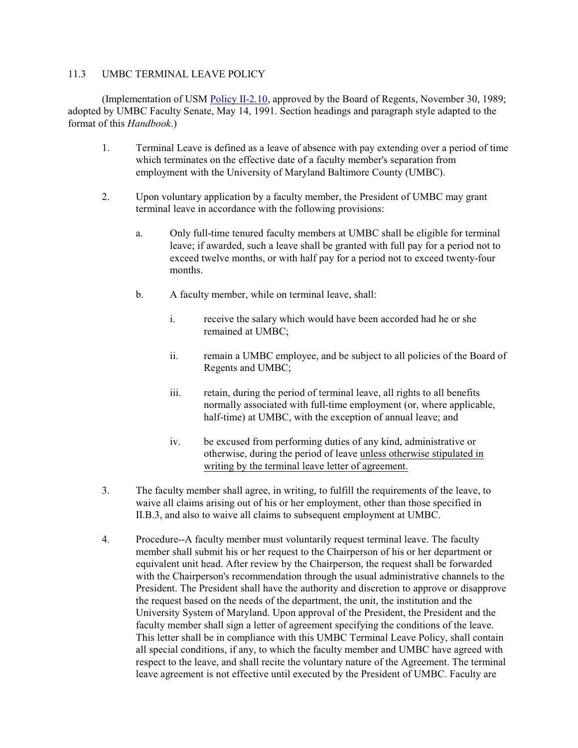## 11.3 UMBC TERMINAL LEAVE POLICY

(Implementation of USM [Policy II-2.10](http://www.usmd.edu/Leadership/BoardOfRegents/Bylaws/SectionII/II210.html), approved by the Board of Regents, November 30, 1989; adopted by UMBC Faculty Senate, May 14, 1991. Section headings and paragraph style adapted to the format of this *Handbook*.)

- 1. Terminal Leave is defined as a leave of absence with pay extending over a period of time which terminates on the effective date of a faculty member's separation from employment with the University of Maryland Baltimore County (UMBC).
- 2. Upon voluntary application by a faculty member, the President of UMBC may grant terminal leave in accordance with the following provisions:
	- a. Only full-time tenured faculty members at UMBC shall be eligible for terminal leave; if awarded, such a leave shall be granted with full pay for a period not to exceed twelve months, or with half pay for a period not to exceed twenty-four months.
	- b. A faculty member, while on terminal leave, shall:
		- i. receive the salary which would have been accorded had he or she remained at UMBC;
		- ii. remain a UMBC employee, and be subject to all policies of the Board of Regents and UMBC;
		- iii. retain, during the period of terminal leave, all rights to all benefits normally associated with full-time employment (or, where applicable, half-time) at UMBC, with the exception of annual leave; and
		- iv. be excused from performing duties of any kind, administrative or otherwise, during the period of leave unless otherwise stipulated in writing by the terminal leave letter of agreement.
- 3. The faculty member shall agree, in writing, to fulfill the requirements of the leave, to waive all claims arising out of his or her employment, other than those specified in II.B.3, and also to waive all claims to subsequent employment at UMBC.
- 4. Procedure--A faculty member must voluntarily request terminal leave. The faculty member shall submit his or her request to the Chairperson of his or her department or equivalent unit head. After review by the Chairperson, the request shall be forwarded with the Chairperson's recommendation through the usual administrative channels to the President. The President shall have the authority and discretion to approve or disapprove the request based on the needs of the department, the unit, the institution and the University System of Maryland. Upon approval of the President, the President and the faculty member shall sign a letter of agreement specifying the conditions of the leave. This letter shall be in compliance with this UMBC Terminal Leave Policy, shall contain all special conditions, if any, to which the faculty member and UMBC have agreed with respect to the leave, and shall recite the voluntary nature of the Agreement. The terminal leave agreement is not effective until executed by the President of UMBC. Faculty are